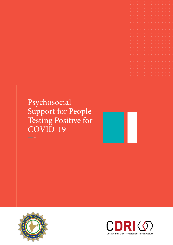# Psychosocial Support for People Testing Positive for COVID-19





**Service** 

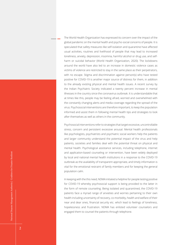The World Health Organization has expressed its concern over the impact of the global pandemic on the mental health and psycho-social concerns of people. It is speculated that safety measures like self-isolation and quarantine have affected usual activities, routines and livelihood of people that may lead to increased loneliness, anxiety, depression, insomnia, harmful alcohol or drug use, and selfharm or suicidal behavior (World Health Organization, 2020). The lockdowns around the world have also led to an increase in domestic violence cases as victims of violence are restricted to stay in the same place as their perpetrators, with no escape. Stigma and discrimination against person(s) who have tested positive for COVID-19 is another major source of distress for them, in addition to the already existing physical and mental health issues. A recent survey by the Indian Psychiatric Society indicated a twenty percent increase in mental illnesses in the country since the coronavirus outbreak. It is understandable that at times like this, people may be feeling afraid, worried and overwhelmed with the constantly changing alerts and media coverage regarding the spread of the virus. Psychosocial interventions are therefore important, to keep the population informed and assist them in following mental health tips and strategies to look after themselves as well as others in the community.

Psychosocial interventions refer to strategies that target excessive, uncontrollable stress, concern and persistent excessive arousal. Mental health professionals like psychologists, psychiatrists and psychiatric social workers help the patients and larger community understand the potential impact of the virus and help patients, societies and families deal with the potential threat on physical and mental health. Psychological assistance services, including telephone, internet and application-based counseling or intervention, have been widely deployed by local and national mental health institutions in a response to the COVID-19 outbreak as the availability of transparent appropriate, and timely information is vital for the emotional restraint of family members and for keeping the general population calm.

In keeping with the this need, NDMA initiated a helpline for people testing positive for COVID-19 whereby psychosocial support is being provided to the latter in the form of remote counseling. Being isolated and quarantined, the COVID-19 patients face a myriad range of anxieties and worries pertaining to their own health including uncertainty of recovery, co-morbidity, health and welfare of their near and dear ones, financial security etc. which lead to feelings of loneliness, hopelessness and frustration. NDMA has enlisted volunteer counselors and engaged them to counsel the patients through telephone.

2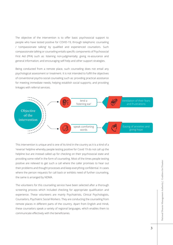The objective of the intervention is to offer basic psychosocial support to people who have tested positive for COVID-19, through telephonic counseling / 'compassionate talking' by qualified and experienced counselors. Such compassionate talking or counseling entails specific components of Psychosocial First Aid (PFA) such as: listening non-judgmentally; giving re-assurance and general information; and encouraging self-help and other support strategies.

Being conducted from a remote place, such counseling does not entail any psychological assessment or treatment. It is not intended to fulfill the objectives of conventional psycho-social counseling such as: providing practical assistance for meeting immediate needs; helping establish social supports; and providing linkages with referral services.



This intervention is unique and is one of its kind in the country as it is a kind of a 'reverse' helpline whereby people testing positive for Covid 19 do not call up the helpline but are instead called up for checking on their psychosocial state and providing some relief in the form of counseling. Most of the times people testing positive are relieved to get such a call where the caller promises to hear out their problems and thought processes and keep everything confidential. In cases where the person requests for call back or exhibits need of further counseling, the same is arranged by NDMA.

The volunteers for this counseling service have been selected after a thorough screening process which included checking for appropriate qualification and experience. These volunteers are mainly Psychiatrists, Clinical Psychologists, Counselors, Psychiatric Social Workers. They are conducting the counseling from remote places in different parts of the country. Apart from English and Hindi, these counselors speak a variety of regional languages, which enables them to communicate effectively with the beneficiaries.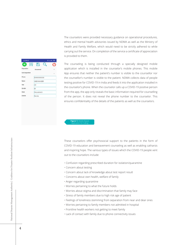| 3.15 PM 全                     |   |                  |   | 6 ISI 49:090 |
|-------------------------------|---|------------------|---|--------------|
| я                             | 袐 | 冎                | O |              |
| <b>Diaposition</b>            |   | <b>Ariswered</b> |   | ×            |
| Sub Disposition               |   |                  |   | ٠            |
| Phone                         |   | XXXXXXXXXXX      |   |              |
| Mame                          |   | ABDNNASER        |   |              |
| Ape                           |   | 40               |   |              |
| Gender                        |   | M                |   |              |
| State                         |   | <b>PALAKKAD</b>  |   |              |
| <b><i><u>District</u></i></b> |   | Kerala           |   |              |
|                               |   |                  |   |              |

The counselors were provided necessary guidance on operational procedures, ethics and mental health advisories issued by NDMA as well as the Ministry of Health and Family Welfare, which would need to be strictly adhered to while carrying out the service. On completion of the service a certificate of appreciation is provided to them.

The counseling is being conducted through a specially designed mobile application which is installed in the counselor's mobile phones. This mobile App ensures that neither the patient's number is visible to the counsellor nor the counsellor's number is visible to the patient. NDMA collects data of people testing positive for COVID-19 in India and feeds it into the application installed in the counselor's phone. When the counselor calls up a COVID-19 positive person from the app, the app only reveals the basic information required for counselling of the person. It does not reveal the phone number to the counselor. This ensures confidentiality of the details of the patients as well as the counselors.

#### **Figure 1:** Mobile Based Application for Calling

These counselors offer psychosocial support to the patients in the form of COVID-19 education and bereavement counseling as well as enabling catharsis and inspiring hope. The various types of issues which the COVID-19 people vent out to the counselors include:

- Confusion regarding prescribed duration for isolation/quarantine
- Concern about testing
- Concern about lack of knowledge about test report result
- Concerns about own health, welfare of family
- Anger regarding quarantine
- Worries pertaining to what the future holds
- Worries about stigma and discrimination that family may face
- Stress of family members due to high risk age of patient
- Feelings of loneliness stemming from separation from near and dear ones
- Worries pertaining to family members not admitted in hospital
- Frontline health workers not getting to meet family
- Lack of contact with family due to phone connectivity issues

4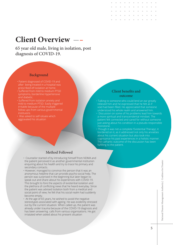# **Client Overview**

65 year old male, living in isolation, post diagnosis of COVID-19.

#### Background

- Patient diagnosed of COVID-19 and after being treated in a hospital was prescribed elf-isolation at home.
- Suffered from mild to medium PTSD symptoms, borderline Hypertensive and diabetic.
- Suffered from isolation anxiety and mild to medium PTSD. Easily triggered irritable because of the multiple follow ups from various governmental
- Was asked to self-isloate which aggravated his situation

#### Client benefits and outcome

- Talking to someone who could lend an ear greatly relieved him and he expressed that he felt as if void had been filled. He appreciated that someone understood his whole realm and answered him.
- Discussion on some of his problems lead him towards a more spiritual and transcendental mindset. The patient felt connected and cared for without someone just asking about his condition in a pseudo-responsible monotone.
- Though it was not a complete 'Existential Therapy', it bordered on it, as it addressed not only his anxieties about his current situation but also took into cognisance his past experiences in a holistic manner. The cathartic outcome of the discussion has been fulfilling to the patient.

### Method Followed

- Counselor started of by introducing himself from NDMA and the patient perceived it as another governmental institution enquiring about his health and try to trace his primary and secondary contacts.
- However, managed to convince the person that it was an anonymous helpline that can provide psycho-social help. The person was surprised in the beginning but later began to speak out and share about his experiences with COVID-19. This brought to fore the aspects of existential isolation and the plethora of conflicting news that he heard everyday. Since the patient was advised isolation both from a medical and social point of view, he felt that his social realm had suddenly become empty.
- At the age of 65 years, he wished to avoid the negative stereotypes associated with ageing. He was evidently stressed out by the current situation. When called up, the patient was already under trauma because of the COVID-19 diagnosis and has been answering calls from various organisations. He got irriatated when asked about his present situation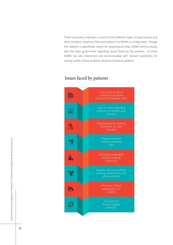These counselors maintain a record of the different types of psychosocial and other problems faced by them and submit it to NDMA on a daily basis. Though this helpline is specifically meant for psychosocial help, NDMA communicates with the state government regarding issues faced by the patients. At times NDMA has also intervened and communicated with relevant authorities for solving certain critical problems faced by individual patients.

### Lack of clarity about 最 isolation/quarantine protocols followed by state Lack of clarity regarding  $\widehat{\mathbb{R}}$ chances of infection post recovery Elderly patients needing **OS** assistance for daily routines Pregnant women මාලි<br>දින needing antenatal care Physically challenged people needing assistance Patients with co-morbidity 欛 needing medicines for the other ailments **An** appropriate for children  $\mathcal{C}$ female hygiene products

### Issues faced by patients

6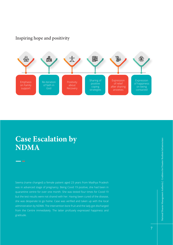### Inspiring hope and positivity



## **Case Escalation by NDMA**

Seema (name changed) a female patient aged 23 years from Madhya Pradesh was in advanced stage of pregnancy. Being Covid 19 positive, she had been in quarantine centre for over one month. She was tested four times for Covid-19 but the test results were not shared with her. Having been cured of the disease, she was desperate to go home. Case was verified and taken up with the local administration by NDMA. The intervention bore fruit and the lady got discharged from the Centre immediately. The latter profusely expressed happiness and gratitude.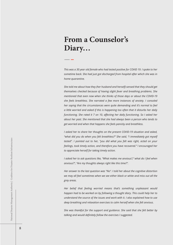# **From a Counselor's Diary…**

*This was a 30 year old female who had tested positive for COVID 19. I spoke to her*  sometime back. She had just got discharged from hospital after which she was in *home quarantine.*

*She told me about how they (her husband and herself) sensed that they should get themselves checked because of having slight fever and breathing problems. She mentioned that even now when she thinks of those days or about the COVID-19 she feels breathless. She narrated a few more instances of anxiety. I consoled her saying that the circumstances were quite demanding and it's normal to feel a little worried and asked if this is happening too often that it disturbs her daily functioning. She rated it 7 on 10, affecting her daily functioning. So I asked her about her past. She mentioned that she had always been a person who tends to get worried and when that happens she feels panicky and breathless.*

*I asked her to share her thoughts on the present COVID-19 situation and asked, "what did you do when you felt breathless?" She said, "I immediately got myself tested". I pointed out to her, "you did what you felt was right, acted on your feelings, took timely action, and therefore you have recovered." I encouraged her to appreciate herself for taking timely action.*

*I* asked her to ask questions like, "What makes me anxious?," what do I feel when *anxious?", "Are my thoughts always right like this time?".* 

*Her answer to the last question was "No". I told her about the cognitive distortion we may all feel sometimes when we see either black or white and miss out all the grey areas.* 

*Her belief that feeling worried means that's something unpleasant would happen had to be worked on by following a thought diary. This could help her to understand the source of the issues and work with it. I also explained how to use deep breathing and relaxation exercises to calm herself when she felt anxious.* 

*She was thankful for the support and guidance. She said that she felt better by talking and would definitely follow the exercises I suggested.*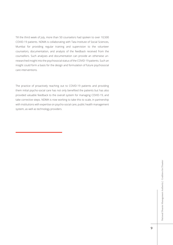Till the third week of July, more than 50 counselors had spoken to over 10,500 COVID-19 patients. NDMA is collaborating with Tata Institute of Social Sciences, Mumbai for providing regular training and supervision to the volunteer counselors, documentation, and analysis of the feedback received from the counsellors. Such analyses and documentation can provide an otherwise unresearched insight into the psychosocial status of the COVID-19 patients. Such an insight could form a basis for the design and formulation of future psychosocial care interventions.

The practice of proactively reaching out to COVID-19 patients and providing them initial psycho-social care has not only benefited the patients but has also provided valuable feedback to the overall system for managing COVID-19, and take corrective steps. NDMA is now working to take this to scale, in partnership with institutions with expertise on psycho-social care, public health management system, as well as technology providers.